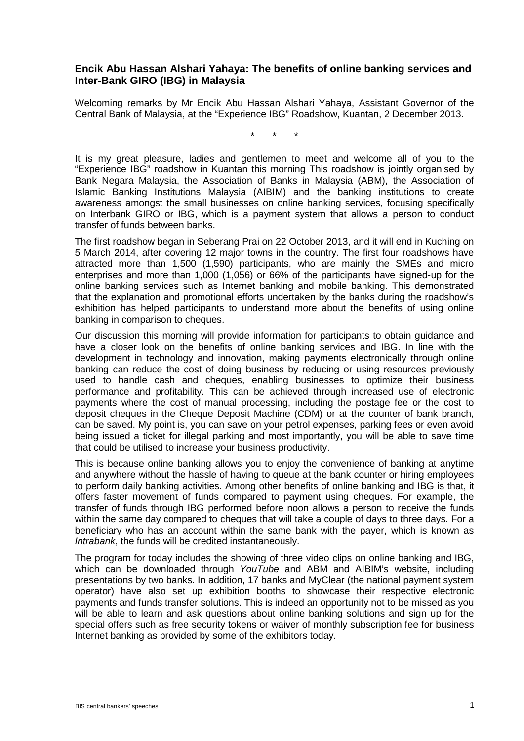## **Encik Abu Hassan Alshari Yahaya: The benefits of online banking services and Inter-Bank GIRO (IBG) in Malaysia**

Welcoming remarks by Mr Encik Abu Hassan Alshari Yahaya, Assistant Governor of the Central Bank of Malaysia, at the "Experience IBG" Roadshow, Kuantan, 2 December 2013.

\* \* \*

It is my great pleasure, ladies and gentlemen to meet and welcome all of you to the "Experience IBG" roadshow in Kuantan this morning This roadshow is jointly organised by Bank Negara Malaysia, the Association of Banks in Malaysia (ABM), the Association of Islamic Banking Institutions Malaysia (AIBIM) and the banking institutions to create awareness amongst the small businesses on online banking services, focusing specifically on Interbank GIRO or IBG, which is a payment system that allows a person to conduct transfer of funds between banks.

The first roadshow began in Seberang Prai on 22 October 2013, and it will end in Kuching on 5 March 2014, after covering 12 major towns in the country. The first four roadshows have attracted more than 1,500 (1,590) participants, who are mainly the SMEs and micro enterprises and more than 1,000 (1,056) or 66% of the participants have signed-up for the online banking services such as Internet banking and mobile banking. This demonstrated that the explanation and promotional efforts undertaken by the banks during the roadshow's exhibition has helped participants to understand more about the benefits of using online banking in comparison to cheques.

Our discussion this morning will provide information for participants to obtain guidance and have a closer look on the benefits of online banking services and IBG. In line with the development in technology and innovation, making payments electronically through online banking can reduce the cost of doing business by reducing or using resources previously used to handle cash and cheques, enabling businesses to optimize their business performance and profitability. This can be achieved through increased use of electronic payments where the cost of manual processing, including the postage fee or the cost to deposit cheques in the Cheque Deposit Machine (CDM) or at the counter of bank branch, can be saved. My point is, you can save on your petrol expenses, parking fees or even avoid being issued a ticket for illegal parking and most importantly, you will be able to save time that could be utilised to increase your business productivity.

This is because online banking allows you to enjoy the convenience of banking at anytime and anywhere without the hassle of having to queue at the bank counter or hiring employees to perform daily banking activities. Among other benefits of online banking and IBG is that, it offers faster movement of funds compared to payment using cheques. For example, the transfer of funds through IBG performed before noon allows a person to receive the funds within the same day compared to cheques that will take a couple of days to three days. For a beneficiary who has an account within the same bank with the payer, which is known as *Intrabank*, the funds will be credited instantaneously.

The program for today includes the showing of three video clips on online banking and IBG, which can be downloaded through *YouTube* and ABM and AIBIM's website, including presentations by two banks. In addition, 17 banks and MyClear (the national payment system operator) have also set up exhibition booths to showcase their respective electronic payments and funds transfer solutions. This is indeed an opportunity not to be missed as you will be able to learn and ask questions about online banking solutions and sign up for the special offers such as free security tokens or waiver of monthly subscription fee for business Internet banking as provided by some of the exhibitors today.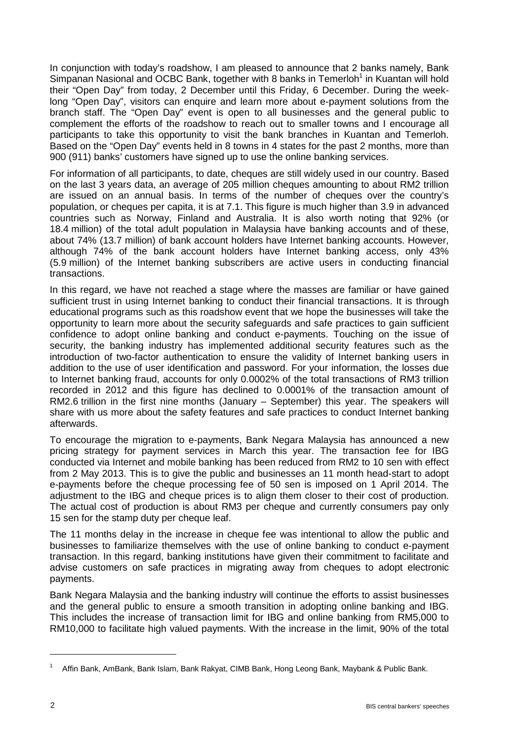In conjunction with today's roadshow, I am pleased to announce that 2 banks namely, Bank Simpanan Nasional and OCBC Bank, together with 8 banks in Temerloh<sup>1</sup> in Kuantan will hold their "Open Day" from today, 2 December until this Friday, 6 December. During the weeklong "Open Day", visitors can enquire and learn more about e-payment solutions from the branch staff. The "Open Day" event is open to all businesses and the general public to complement the efforts of the roadshow to reach out to smaller towns and I encourage all participants to take this opportunity to visit the bank branches in Kuantan and Temerloh. Based on the "Open Day" events held in 8 towns in 4 states for the past 2 months, more than 900 (911) banks' customers have signed up to use the online banking services.

For information of all participants, to date, cheques are still widely used in our country. Based on the last 3 years data, an average of 205 million cheques amounting to about RM2 trillion are issued on an annual basis. In terms of the number of cheques over the country's population, or cheques per capita, it is at 7.1. This figure is much higher than 3.9 in advanced countries such as Norway, Finland and Australia. It is also worth noting that 92% (or 18.4 million) of the total adult population in Malaysia have banking accounts and of these, about 74% (13.7 million) of bank account holders have Internet banking accounts. However, although 74% of the bank account holders have Internet banking access, only 43% (5.9 million) of the Internet banking subscribers are active users in conducting financial transactions.

In this regard, we have not reached a stage where the masses are familiar or have gained sufficient trust in using Internet banking to conduct their financial transactions. It is through educational programs such as this roadshow event that we hope the businesses will take the opportunity to learn more about the security safeguards and safe practices to gain sufficient confidence to adopt online banking and conduct e-payments. Touching on the issue of security, the banking industry has implemented additional security features such as the introduction of two-factor authentication to ensure the validity of Internet banking users in addition to the use of user identification and password. For your information, the losses due to Internet banking fraud, accounts for only 0.0002% of the total transactions of RM3 trillion recorded in 2012 and this figure has declined to 0.0001% of the transaction amount of RM2.6 trillion in the first nine months (January – September) this year. The speakers will share with us more about the safety features and safe practices to conduct Internet banking afterwards.

To encourage the migration to e-payments, Bank Negara Malaysia has announced a new pricing strategy for payment services in March this year. The transaction fee for IBG conducted via Internet and mobile banking has been reduced from RM2 to 10 sen with effect from 2 May 2013. This is to give the public and businesses an 11 month head-start to adopt e-payments before the cheque processing fee of 50 sen is imposed on 1 April 2014. The adjustment to the IBG and cheque prices is to align them closer to their cost of production. The actual cost of production is about RM3 per cheque and currently consumers pay only 15 sen for the stamp duty per cheque leaf.

The 11 months delay in the increase in cheque fee was intentional to allow the public and businesses to familiarize themselves with the use of online banking to conduct e-payment transaction. In this regard, banking institutions have given their commitment to facilitate and advise customers on safe practices in migrating away from cheques to adopt electronic payments.

Bank Negara Malaysia and the banking industry will continue the efforts to assist businesses and the general public to ensure a smooth transition in adopting online banking and IBG. This includes the increase of transaction limit for IBG and online banking from RM5,000 to RM10,000 to facilitate high valued payments. With the increase in the limit, 90% of the total

-

<sup>1</sup> Affin Bank, AmBank, Bank Islam, Bank Rakyat, CIMB Bank, Hong Leong Bank, Maybank & Public Bank.